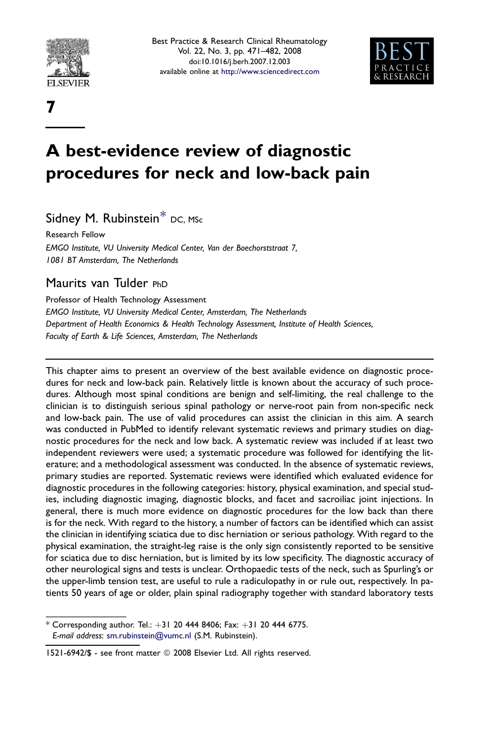

7



# A best-evidence review of diagnostic procedures for neck and low-back pain

## Sidney M. Rubinstein\* DC, MSc

Research Fellow EMGO Institute, VU University Medical Center, Van der Boechorststraat 7, 1081 BT Amsterdam, The Netherlands

### Maurits van Tulder PhD

Professor of Health Technology Assessment EMGO Institute, VU University Medical Center, Amsterdam, The Netherlands Department of Health Economics & Health Technology Assessment, Institute of Health Sciences, Faculty of Earth & Life Sciences, Amsterdam, The Netherlands

This chapter aims to present an overview of the best available evidence on diagnostic procedures for neck and low-back pain. Relatively little is known about the accuracy of such procedures. Although most spinal conditions are benign and self-limiting, the real challenge to the clinician is to distinguish serious spinal pathology or nerve-root pain from non-specific neck and low-back pain. The use of valid procedures can assist the clinician in this aim. A search was conducted in PubMed to identify relevant systematic reviews and primary studies on diagnostic procedures for the neck and low back. A systematic review was included if at least two independent reviewers were used; a systematic procedure was followed for identifying the literature; and a methodological assessment was conducted. In the absence of systematic reviews, primary studies are reported. Systematic reviews were identified which evaluated evidence for diagnostic procedures in the following categories: history, physical examination, and special studies, including diagnostic imaging, diagnostic blocks, and facet and sacroiliac joint injections. In general, there is much more evidence on diagnostic procedures for the low back than there is for the neck. With regard to the history, a number of factors can be identified which can assist the clinician in identifying sciatica due to disc herniation or serious pathology. With regard to the physical examination, the straight-leg raise is the only sign consistently reported to be sensitive for sciatica due to disc herniation, but is limited by its low specificity. The diagnostic accuracy of other neurological signs and tests is unclear. Orthopaedic tests of the neck, such as Spurling's or the upper-limb tension test, are useful to rule a radiculopathy in or rule out, respectively. In patients 50 years of age or older, plain spinal radiography together with standard laboratory tests

<sup>\*</sup> Corresponding author. Tel.:  $+31$  20 444 8406; Fax:  $+31$  20 444 6775. E-mail address: [sm.rubinstein@vumc.nl](mailto:sm.rubinstein@vumc.nl) (S.M. Rubinstein).

<sup>1521-6942/\$ -</sup> see front matter © 2008 Elsevier Ltd. All rights reserved.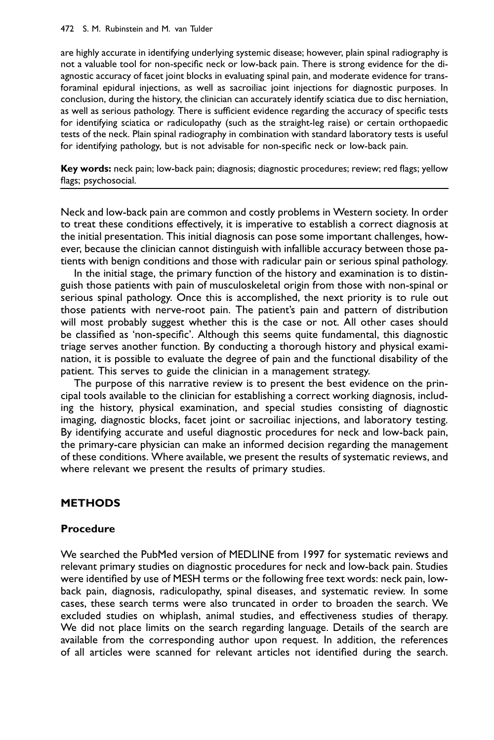are highly accurate in identifying underlying systemic disease; however, plain spinal radiography is not a valuable tool for non-specific neck or low-back pain. There is strong evidence for the diagnostic accuracy of facet joint blocks in evaluating spinal pain, and moderate evidence for transforaminal epidural injections, as well as sacroiliac joint injections for diagnostic purposes. In conclusion, during the history, the clinician can accurately identify sciatica due to disc herniation, as well as serious pathology. There is sufficient evidence regarding the accuracy of specific tests for identifying sciatica or radiculopathy (such as the straight-leg raise) or certain orthopaedic tests of the neck. Plain spinal radiography in combination with standard laboratory tests is useful for identifying pathology, but is not advisable for non-specific neck or low-back pain.

Key words: neck pain; low-back pain; diagnosis; diagnostic procedures; review; red flags; yellow flags; psychosocial.

Neck and low-back pain are common and costly problems in Western society. In order to treat these conditions effectively, it is imperative to establish a correct diagnosis at the initial presentation. This initial diagnosis can pose some important challenges, however, because the clinician cannot distinguish with infallible accuracy between those patients with benign conditions and those with radicular pain or serious spinal pathology.

In the initial stage, the primary function of the history and examination is to distinguish those patients with pain of musculoskeletal origin from those with non-spinal or serious spinal pathology. Once this is accomplished, the next priority is to rule out those patients with nerve-root pain. The patient's pain and pattern of distribution will most probably suggest whether this is the case or not. All other cases should be classified as 'non-specific'. Although this seems quite fundamental, this diagnostic triage serves another function. By conducting a thorough history and physical examination, it is possible to evaluate the degree of pain and the functional disability of the patient. This serves to guide the clinician in a management strategy.

The purpose of this narrative review is to present the best evidence on the principal tools available to the clinician for establishing a correct working diagnosis, including the history, physical examination, and special studies consisting of diagnostic imaging, diagnostic blocks, facet joint or sacroiliac injections, and laboratory testing. By identifying accurate and useful diagnostic procedures for neck and low-back pain, the primary-care physician can make an informed decision regarding the management of these conditions. Where available, we present the results of systematic reviews, and where relevant we present the results of primary studies.

#### METHODS

#### Procedure

We searched the PubMed version of MEDLINE from 1997 for systematic reviews and relevant primary studies on diagnostic procedures for neck and low-back pain. Studies were identified by use of MESH terms or the following free text words: neck pain, lowback pain, diagnosis, radiculopathy, spinal diseases, and systematic review. In some cases, these search terms were also truncated in order to broaden the search. We excluded studies on whiplash, animal studies, and effectiveness studies of therapy. We did not place limits on the search regarding language. Details of the search are available from the corresponding author upon request. In addition, the references of all articles were scanned for relevant articles not identified during the search.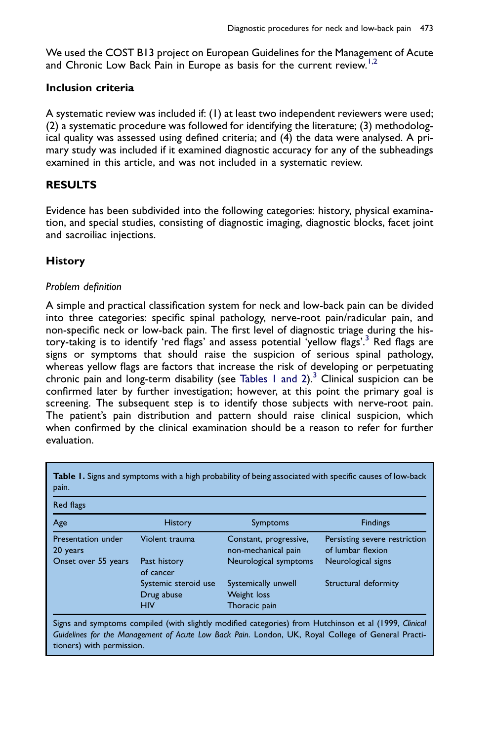We used the COST B13 project on European Guidelines for the Management of Acute and Chronic Low Back Pain in Europe as basis for the current review.<sup>[1,2](#page-10-0)</sup>

#### Inclusion criteria

A systematic review was included if: (1) at least two independent reviewers were used; (2) a systematic procedure was followed for identifying the literature; (3) methodological quality was assessed using defined criteria; and (4) the data were analysed. A primary study was included if it examined diagnostic accuracy for any of the subheadings examined in this article, and was not included in a systematic review.

#### RESULTS

Evidence has been subdivided into the following categories: history, physical examination, and special studies, consisting of diagnostic imaging, diagnostic blocks, facet joint and sacroiliac injections.

### **History**

#### Problem definition

A simple and practical classification system for neck and low-back pain can be divided into three categories: specific spinal pathology, nerve-root pain/radicular pain, and non-specific neck or low-back pain. The first level of diagnostic triage during the his-tory-taking is to identify 'red flags' and assess potential 'yellow flags'.<sup>[3](#page-10-0)</sup> Red flags are signs or symptoms that should raise the suspicion of serious spinal pathology, whereas yellow flags are factors that increase the risk of developing or perpetuating chronic pain and long-term disability (see Tables 1 and 2).<sup>[3](#page-10-0)</sup> Clinical suspicion can be confirmed later by further investigation; however, at this point the primary goal is screening. The subsequent step is to identify those subjects with nerve-root pain. The patient's pain distribution and pattern should raise clinical suspicion, which when confirmed by the clinical examination should be a reason to refer for further evaluation.

| Age                            | <b>History</b>                                   | Symptoms                                            | <b>Findings</b>                                    |
|--------------------------------|--------------------------------------------------|-----------------------------------------------------|----------------------------------------------------|
| Presentation under<br>20 years | Violent trauma                                   | Constant, progressive,<br>non-mechanical pain       | Persisting severe restriction<br>of lumbar flexion |
| Onset over 55 years            | Past history<br>of cancer                        | Neurological symptoms                               | Neurological signs                                 |
|                                | Systemic steroid use<br>Drug abuse<br><b>HIV</b> | Systemically unwell<br>Weight loss<br>Thoracic pain | Structural deformity                               |

Table 1. Signs and symptoms with a high probability of being associated with specific causes of low-back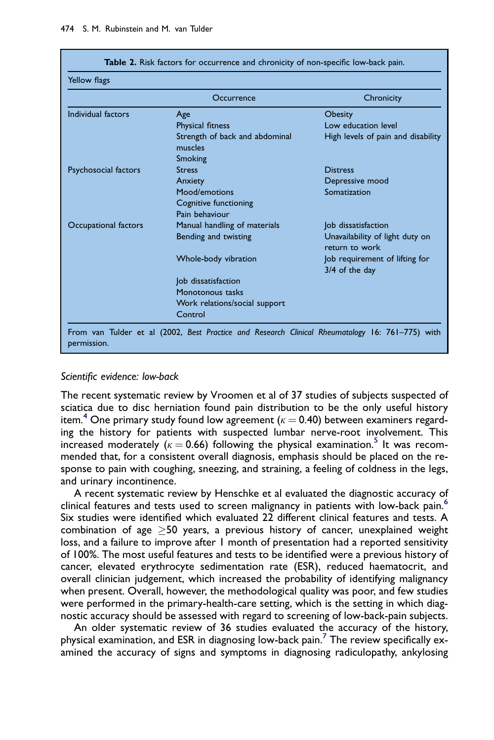|                      | Occurrence                                           | Chronicity                                        |
|----------------------|------------------------------------------------------|---------------------------------------------------|
| Individual factors   | Age                                                  | Obesity                                           |
|                      | <b>Physical fitness</b>                              | Low education level                               |
|                      | Strength of back and abdominal<br>muscles<br>Smoking | High levels of pain and disability                |
| Psychosocial factors | <b>Stress</b>                                        | <b>Distress</b>                                   |
|                      | Anxiety                                              | Depressive mood                                   |
|                      | Mood/emotions                                        | Somatization                                      |
|                      | Cognitive functioning<br>Pain behaviour              |                                                   |
| Occupational factors | Manual handling of materials                         | Job dissatisfaction                               |
|                      | Bending and twisting                                 | Unavailability of light duty on<br>return to work |
|                      | Whole-body vibration                                 | Job requirement of lifting for<br>3/4 of the day  |
|                      | Job dissatisfaction                                  |                                                   |
|                      | Monotonous tasks                                     |                                                   |
|                      | Work relations/social support                        |                                                   |
|                      | Control                                              |                                                   |

#### Scientific evidence: low-back

The recent systematic review by Vroomen et al of 37 studies of subjects suspected of sciatica due to disc herniation found pain distribution to be the only useful history item.<sup>[4](#page-10-0)</sup> One primary study found low agreement ( $\kappa = 0.40$ ) between examiners regarding the history for patients with suspected lumbar nerve-root involvement. This increased moderately ( $k = 0.66$ ) following the physical examination.<sup>[5](#page-10-0)</sup> It was recommended that, for a consistent overall diagnosis, emphasis should be placed on the response to pain with coughing, sneezing, and straining, a feeling of coldness in the legs, and urinary incontinence.

A recent systematic review by Henschke et al evaluated the diagnostic accuracy of clinical features and tests used to screen malignancy in patients with low-back pain.<sup>[6](#page-10-0)</sup> Six studies were identified which evaluated 22 different clinical features and tests. A combination of age  $\geq$ 50 years, a previous history of cancer, unexplained weight loss, and a failure to improve after 1 month of presentation had a reported sensitivity of 100%. The most useful features and tests to be identified were a previous history of cancer, elevated erythrocyte sedimentation rate (ESR), reduced haematocrit, and overall clinician judgement, which increased the probability of identifying malignancy when present. Overall, however, the methodological quality was poor, and few studies were performed in the primary-health-care setting, which is the setting in which diagnostic accuracy should be assessed with regard to screening of low-back-pain subjects.

An older systematic review of 36 studies evaluated the accuracy of the history, physical examination, and ESR in diagnosing low-back pain.<sup>[7](#page-11-0)</sup> The review specifically examined the accuracy of signs and symptoms in diagnosing radiculopathy, ankylosing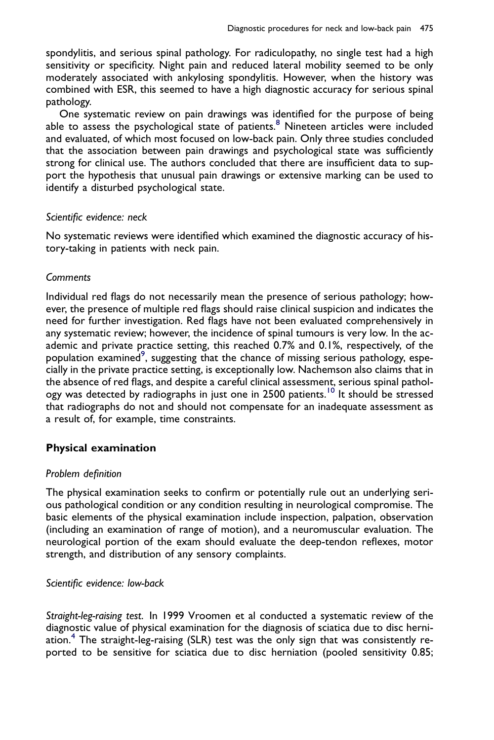spondylitis, and serious spinal pathology. For radiculopathy, no single test had a high sensitivity or specificity. Night pain and reduced lateral mobility seemed to be only moderately associated with ankylosing spondylitis. However, when the history was combined with ESR, this seemed to have a high diagnostic accuracy for serious spinal pathology.

One systematic review on pain drawings was identified for the purpose of being able to assess the psychological state of patients.<sup>[8](#page-11-0)</sup> Nineteen articles were included and evaluated, of which most focused on low-back pain. Only three studies concluded that the association between pain drawings and psychological state was sufficiently strong for clinical use. The authors concluded that there are insufficient data to support the hypothesis that unusual pain drawings or extensive marking can be used to identify a disturbed psychological state.

#### Scientific evidence: neck

No systematic reviews were identified which examined the diagnostic accuracy of history-taking in patients with neck pain.

#### **Comments**

Individual red flags do not necessarily mean the presence of serious pathology; however, the presence of multiple red flags should raise clinical suspicion and indicates the need for further investigation. Red flags have not been evaluated comprehensively in any systematic review; however, the incidence of spinal tumours is very low. In the academic and private practice setting, this reached 0.7% and 0.1%, respectively, of the population examined<sup>[9](#page-11-0)</sup>, suggesting that the chance of missing serious pathology, especially in the private practice setting, is exceptionally low. Nachemson also claims that in the absence of red flags, and despite a careful clinical assessment, serious spinal pathol-ogy was detected by radiographs in just one in 2500 patients.<sup>[10](#page-11-0)</sup> It should be stressed that radiographs do not and should not compensate for an inadequate assessment as a result of, for example, time constraints.

#### Physical examination

#### Problem definition

The physical examination seeks to confirm or potentially rule out an underlying serious pathological condition or any condition resulting in neurological compromise. The basic elements of the physical examination include inspection, palpation, observation (including an examination of range of motion), and a neuromuscular evaluation. The neurological portion of the exam should evaluate the deep-tendon reflexes, motor strength, and distribution of any sensory complaints.

#### Scientific evidence: low-back

Straight-leg-raising test. In 1999 Vroomen et al conducted a systematic review of the diagnostic value of physical examination for the diagnosis of sciatica due to disc herni-ation.<sup>[4](#page-10-0)</sup> The straight-leg-raising (SLR) test was the only sign that was consistently reported to be sensitive for sciatica due to disc herniation (pooled sensitivity 0.85;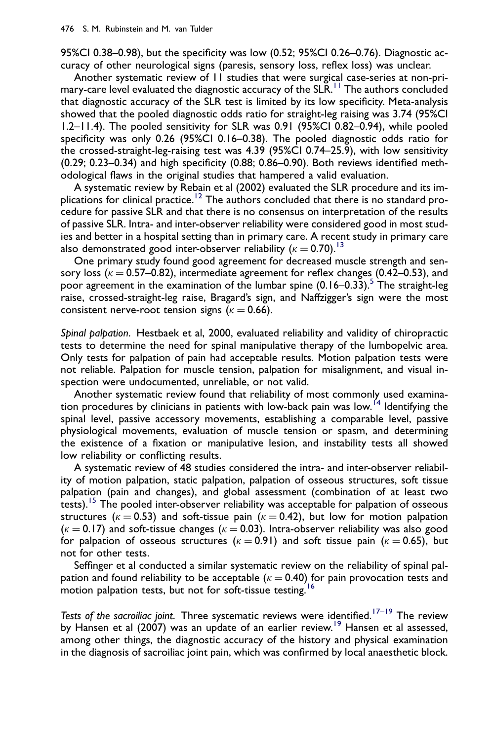95%CI 0.38–0.98), but the specificity was low (0.52; 95%CI 0.26–0.76). Diagnostic accuracy of other neurological signs (paresis, sensory loss, reflex loss) was unclear.

Another systematic review of 11 studies that were surgical case-series at non-primary-care level evaluated the diagnostic accuracy of the  $SLR<sup>11</sup>$  $SLR<sup>11</sup>$  $SLR<sup>11</sup>$  The authors concluded that diagnostic accuracy of the SLR test is limited by its low specificity. Meta-analysis showed that the pooled diagnostic odds ratio for straight-leg raising was 3.74 (95%CI 1.2–11.4). The pooled sensitivity for SLR was 0.91 (95%CI 0.82–0.94), while pooled specificity was only 0.26 (95%CI 0.16–0.38). The pooled diagnostic odds ratio for the crossed-straight-leg-raising test was 4.39 (95%CI 0.74–25.9), with low sensitivity (0.29; 0.23–0.34) and high specificity (0.88; 0.86–0.90). Both reviews identified methodological flaws in the original studies that hampered a valid evaluation.

A systematic review by Rebain et al (2002) evaluated the SLR procedure and its im-plications for clinical practice.<sup>[12](#page-11-0)</sup> The authors concluded that there is no standard procedure for passive SLR and that there is no consensus on interpretation of the results of passive SLR. Intra- and inter-observer reliability were considered good in most studies and better in a hospital setting than in primary care. A recent study in primary care also demonstrated good inter-observer reliability ( $k = 0.70$ ).<sup>[13](#page-11-0)</sup>

One primary study found good agreement for decreased muscle strength and sensory loss ( $\kappa = 0.57$ –0.82), intermediate agreement for reflex changes (0.42–0.53), and poor agreement in the examination of the lumbar spine  $(0.16-0.33)$ .<sup>[5](#page-10-0)</sup> The straight-leg raise, crossed-straight-leg raise, Bragard's sign, and Naffzigger's sign were the most consistent nerve-root tension signs ( $\kappa = 0.66$ ).

Spinal palpation. Hestbaek et al, 2000, evaluated reliability and validity of chiropractic tests to determine the need for spinal manipulative therapy of the lumbopelvic area. Only tests for palpation of pain had acceptable results. Motion palpation tests were not reliable. Palpation for muscle tension, palpation for misalignment, and visual inspection were undocumented, unreliable, or not valid.

Another systematic review found that reliability of most commonly used examina-tion procedures by clinicians in patients with low-back pain was low.<sup>[14](#page-11-0)</sup> Identifying the spinal level, passive accessory movements, establishing a comparable level, passive physiological movements, evaluation of muscle tension or spasm, and determining the existence of a fixation or manipulative lesion, and instability tests all showed low reliability or conflicting results.

A systematic review of 48 studies considered the intra- and inter-observer reliability of motion palpation, static palpation, palpation of osseous structures, soft tissue palpation (pain and changes), and global assessment (combination of at least two tests).<sup>[15](#page-11-0)</sup> The pooled inter-observer reliability was acceptable for palpation of osseous structures ( $k = 0.53$ ) and soft-tissue pain ( $k = 0.42$ ), but low for motion palpation  $(k = 0.17)$  and soft-tissue changes  $(k = 0.03)$ . Intra-observer reliability was also good for palpation of osseous structures ( $k = 0.91$ ) and soft tissue pain ( $k = 0.65$ ), but not for other tests.

Seffinger et al conducted a similar systematic review on the reliability of spinal palpation and found reliability to be acceptable ( $k = 0.40$ ) for pain provocation tests and motion palpation tests, but not for soft-tissue testing.<sup>[16](#page-11-0)</sup>

Tests of the sacroiliac joint. Three systematic reviews were identified.<sup>17-19</sup> The review by Hansen et al (2007) was an update of an earlier review.<sup>[19](#page-11-0)</sup> Hansen et al assessed, among other things, the diagnostic accuracy of the history and physical examination in the diagnosis of sacroiliac joint pain, which was confirmed by local anaesthetic block.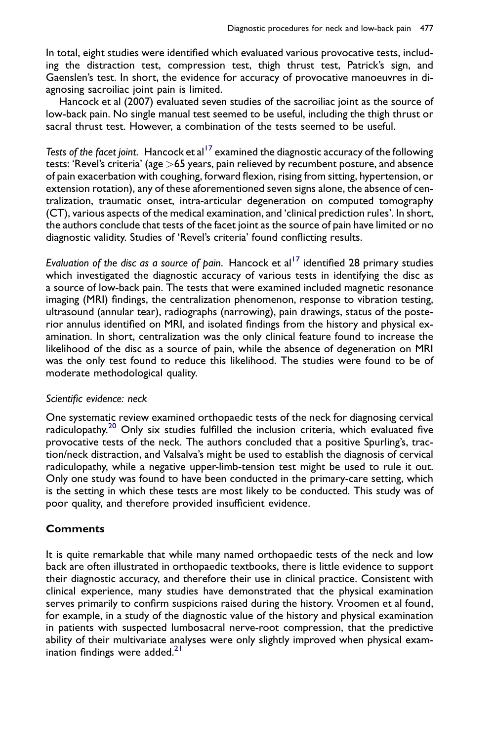In total, eight studies were identified which evaluated various provocative tests, including the distraction test, compression test, thigh thrust test, Patrick's sign, and Gaenslen's test. In short, the evidence for accuracy of provocative manoeuvres in diagnosing sacroiliac joint pain is limited.

Hancock et al (2007) evaluated seven studies of the sacroiliac joint as the source of low-back pain. No single manual test seemed to be useful, including the thigh thrust or sacral thrust test. However, a combination of the tests seemed to be useful.

Tests of the facet joint. Hancock et al<sup>[17](#page-11-0)</sup> examined the diagnostic accuracy of the following tests: 'Revel's criteria' (age >65 years, pain relieved by recumbent posture, and absence of pain exacerbation with coughing, forward flexion, rising from sitting, hypertension, or extension rotation), any of these aforementioned seven signs alone, the absence of centralization, traumatic onset, intra-articular degeneration on computed tomography (CT), various aspects of the medical examination, and 'clinical prediction rules'. In short, the authors conclude that tests of the facet joint as the source of pain have limited or no diagnostic validity. Studies of 'Revel's criteria' found conflicting results.

Evaluation of the disc as a source of pain. Hancock et al<sup>[17](#page-11-0)</sup> identified 28 primary studies which investigated the diagnostic accuracy of various tests in identifying the disc as a source of low-back pain. The tests that were examined included magnetic resonance imaging (MRI) findings, the centralization phenomenon, response to vibration testing, ultrasound (annular tear), radiographs (narrowing), pain drawings, status of the posterior annulus identified on MRI, and isolated findings from the history and physical examination. In short, centralization was the only clinical feature found to increase the likelihood of the disc as a source of pain, while the absence of degeneration on MRI was the only test found to reduce this likelihood. The studies were found to be of moderate methodological quality.

#### Scientific evidence: neck

One systematic review examined orthopaedic tests of the neck for diagnosing cervical radiculopathy.<sup>[20](#page-11-0)</sup> Only six studies fulfilled the inclusion criteria, which evaluated five provocative tests of the neck. The authors concluded that a positive Spurling's, traction/neck distraction, and Valsalva's might be used to establish the diagnosis of cervical radiculopathy, while a negative upper-limb-tension test might be used to rule it out. Only one study was found to have been conducted in the primary-care setting, which is the setting in which these tests are most likely to be conducted. This study was of poor quality, and therefore provided insufficient evidence.

#### **Comments**

It is quite remarkable that while many named orthopaedic tests of the neck and low back are often illustrated in orthopaedic textbooks, there is little evidence to support their diagnostic accuracy, and therefore their use in clinical practice. Consistent with clinical experience, many studies have demonstrated that the physical examination serves primarily to confirm suspicions raised during the history. Vroomen et al found, for example, in a study of the diagnostic value of the history and physical examination in patients with suspected lumbosacral nerve-root compression, that the predictive ability of their multivariate analyses were only slightly improved when physical exam-ination findings were added.<sup>[21](#page-11-0)</sup>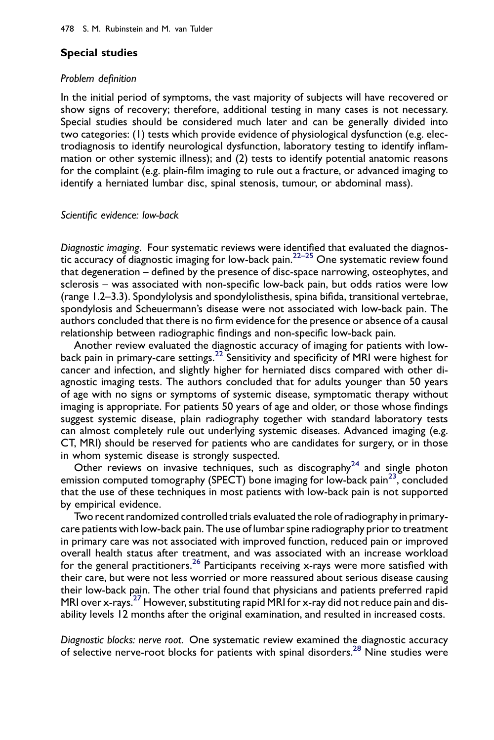#### Special studies

#### Problem definition

In the initial period of symptoms, the vast majority of subjects will have recovered or show signs of recovery; therefore, additional testing in many cases is not necessary. Special studies should be considered much later and can be generally divided into two categories: (1) tests which provide evidence of physiological dysfunction (e.g. electrodiagnosis to identify neurological dysfunction, laboratory testing to identify inflammation or other systemic illness); and (2) tests to identify potential anatomic reasons for the complaint (e.g. plain-film imaging to rule out a fracture, or advanced imaging to identify a herniated lumbar disc, spinal stenosis, tumour, or abdominal mass).

#### Scientific evidence: low-back

Diagnostic imaging. Four systematic reviews were identified that evaluated the diagnos-tic accuracy of diagnostic imaging for low-back pain.<sup>[22–25](#page-11-0)</sup> One systematic review found that degeneration – defined by the presence of disc-space narrowing, osteophytes, and sclerosis – was associated with non-specific low-back pain, but odds ratios were low (range 1.2–3.3). Spondylolysis and spondylolisthesis, spina bifida, transitional vertebrae, spondylosis and Scheuermann's disease were not associated with low-back pain. The authors concluded that there is no firm evidence for the presence or absence of a causal relationship between radiographic findings and non-specific low-back pain.

Another review evaluated the diagnostic accuracy of imaging for patients with low-back pain in primary-care settings.<sup>[22](#page-11-0)</sup> Sensitivity and specificity of MRI were highest for cancer and infection, and slightly higher for herniated discs compared with other diagnostic imaging tests. The authors concluded that for adults younger than 50 years of age with no signs or symptoms of systemic disease, symptomatic therapy without imaging is appropriate. For patients 50 years of age and older, or those whose findings suggest systemic disease, plain radiography together with standard laboratory tests can almost completely rule out underlying systemic diseases. Advanced imaging (e.g. CT, MRI) should be reserved for patients who are candidates for surgery, or in those in whom systemic disease is strongly suspected.

Other reviews on invasive techniques, such as discography<sup>[24](#page-11-0)</sup> and single photon emission computed tomography (SPECT) bone imaging for low-back pain<sup>23</sup>, concluded that the use of these techniques in most patients with low-back pain is not supported by empirical evidence.

Two recent randomized controlled trials evaluated the role of radiography in primarycare patients with low-back pain. The use of lumbar spine radiography prior to treatment in primary care was not associated with improved function, reduced pain or improved overall health status after treatment, and was associated with an increase workload for the general practitioners.<sup>26</sup> Participants receiving x-rays were more satisfied with their care, but were not less worried or more reassured about serious disease causing their low-back pain. The other trial found that physicians and patients preferred rapid MRI over x-rays.<sup>[27](#page-11-0)</sup> However, substituting rapid MRI for x-ray did not reduce pain and disability levels 12 months after the original examination, and resulted in increased costs.

Diagnostic blocks: nerve root. One systematic review examined the diagnostic accuracy of selective nerve-root blocks for patients with spinal disorders.<sup>[28](#page-11-0)</sup> Nine studies were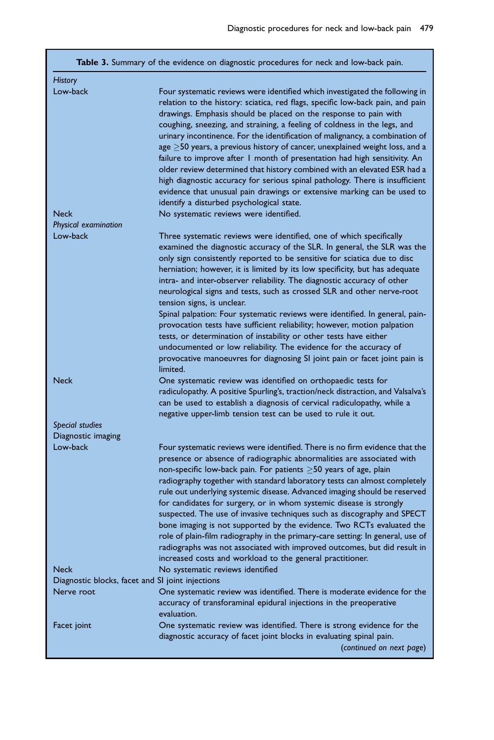<span id="page-8-0"></span>

|                                                  | Table 3. Summary of the evidence on diagnostic procedures for neck and low-back pain.                                                                                                                                                                                                                                                                                                                                                                                                                                                                                                                                                                                                                                                                                                                                                                                                         |
|--------------------------------------------------|-----------------------------------------------------------------------------------------------------------------------------------------------------------------------------------------------------------------------------------------------------------------------------------------------------------------------------------------------------------------------------------------------------------------------------------------------------------------------------------------------------------------------------------------------------------------------------------------------------------------------------------------------------------------------------------------------------------------------------------------------------------------------------------------------------------------------------------------------------------------------------------------------|
| History                                          |                                                                                                                                                                                                                                                                                                                                                                                                                                                                                                                                                                                                                                                                                                                                                                                                                                                                                               |
| Low-back                                         | Four systematic reviews were identified which investigated the following in<br>relation to the history: sciatica, red flags, specific low-back pain, and pain<br>drawings. Emphasis should be placed on the response to pain with<br>coughing, sneezing, and straining, a feeling of coldness in the legs, and<br>urinary incontinence. For the identification of malignancy, a combination of<br>$\text{age} \geq$ 50 years, a previous history of cancer, unexplained weight loss, and a<br>failure to improve after I month of presentation had high sensitivity. An<br>older review determined that history combined with an elevated ESR had a<br>high diagnostic accuracy for serious spinal pathology. There is insufficient<br>evidence that unusual pain drawings or extensive marking can be used to<br>identify a disturbed psychological state.                                   |
| Neck                                             | No systematic reviews were identified.                                                                                                                                                                                                                                                                                                                                                                                                                                                                                                                                                                                                                                                                                                                                                                                                                                                        |
| <b>Physical examination</b>                      |                                                                                                                                                                                                                                                                                                                                                                                                                                                                                                                                                                                                                                                                                                                                                                                                                                                                                               |
| Low-back                                         | Three systematic reviews were identified, one of which specifically<br>examined the diagnostic accuracy of the SLR. In general, the SLR was the<br>only sign consistently reported to be sensitive for sciatica due to disc<br>herniation; however, it is limited by its low specificity, but has adequate<br>intra- and inter-observer reliability. The diagnostic accuracy of other<br>neurological signs and tests, such as crossed SLR and other nerve-root<br>tension signs, is unclear.<br>Spinal palpation: Four systematic reviews were identified. In general, pain-<br>provocation tests have sufficient reliability; however, motion palpation<br>tests, or determination of instability or other tests have either<br>undocumented or low reliability. The evidence for the accuracy of<br>provocative manoeuvres for diagnosing SI joint pain or facet joint pain is<br>limited. |
| Neck                                             | One systematic review was identified on orthopaedic tests for                                                                                                                                                                                                                                                                                                                                                                                                                                                                                                                                                                                                                                                                                                                                                                                                                                 |
|                                                  | radiculopathy. A positive Spurling's, traction/neck distraction, and Valsalva's<br>can be used to establish a diagnosis of cervical radiculopathy, while a<br>negative upper-limb tension test can be used to rule it out.                                                                                                                                                                                                                                                                                                                                                                                                                                                                                                                                                                                                                                                                    |
| <b>Special studies</b>                           |                                                                                                                                                                                                                                                                                                                                                                                                                                                                                                                                                                                                                                                                                                                                                                                                                                                                                               |
| Diagnostic imaging                               |                                                                                                                                                                                                                                                                                                                                                                                                                                                                                                                                                                                                                                                                                                                                                                                                                                                                                               |
| Low-back                                         | Four systematic reviews were identified. There is no firm evidence that the<br>presence or absence of radiographic abnormalities are associated with<br>non-specific low-back pain. For patients $\geq$ 50 years of age, plain<br>radiography together with standard laboratory tests can almost completely<br>rule out underlying systemic disease. Advanced imaging should be reserved<br>for candidates for surgery, or in whom systemic disease is strongly<br>suspected. The use of invasive techniques such as discography and SPECT<br>bone imaging is not supported by the evidence. Two RCTs evaluated the<br>role of plain-film radiography in the primary-care setting: In general, use of<br>radiographs was not associated with improved outcomes, but did result in<br>increased costs and workload to the general practitioner.                                                |
| <b>Neck</b>                                      | No systematic reviews identified                                                                                                                                                                                                                                                                                                                                                                                                                                                                                                                                                                                                                                                                                                                                                                                                                                                              |
| Diagnostic blocks, facet and SI joint injections |                                                                                                                                                                                                                                                                                                                                                                                                                                                                                                                                                                                                                                                                                                                                                                                                                                                                                               |
| Nerve root                                       | One systematic review was identified. There is moderate evidence for the<br>accuracy of transforaminal epidural injections in the preoperative<br>evaluation.                                                                                                                                                                                                                                                                                                                                                                                                                                                                                                                                                                                                                                                                                                                                 |
| Facet joint                                      | One systematic review was identified. There is strong evidence for the<br>diagnostic accuracy of facet joint blocks in evaluating spinal pain.<br>(continued on next page)                                                                                                                                                                                                                                                                                                                                                                                                                                                                                                                                                                                                                                                                                                                    |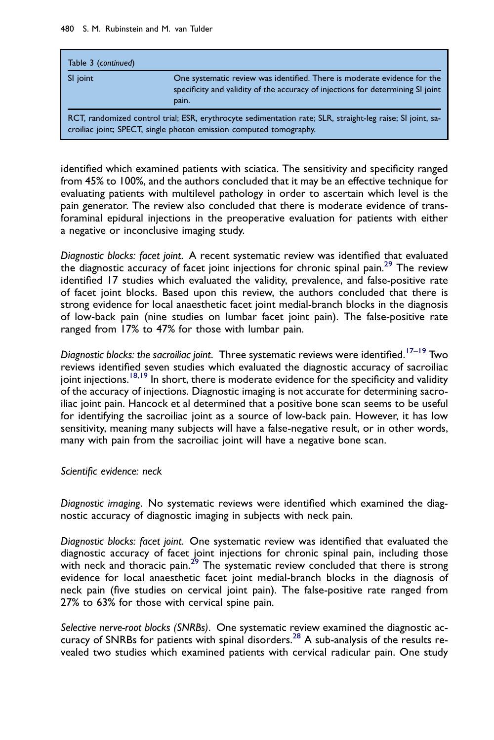| Table 3 (continued)                                                                                                                                                              |                                                                                                                                                                      |  |
|----------------------------------------------------------------------------------------------------------------------------------------------------------------------------------|----------------------------------------------------------------------------------------------------------------------------------------------------------------------|--|
| SI joint                                                                                                                                                                         | One systematic review was identified. There is moderate evidence for the<br>specificity and validity of the accuracy of injections for determining SI joint<br>pain. |  |
| RCT, randomized control trial; ESR, erythrocyte sedimentation rate; SLR, straight-leg raise; SI joint, sa-<br>croiliac joint; SPECT, single photon emission computed tomography. |                                                                                                                                                                      |  |

identified which examined patients with sciatica. The sensitivity and specificity ranged from 45% to 100%, and the authors concluded that it may be an effective technique for evaluating patients with multilevel pathology in order to ascertain which level is the pain generator. The review also concluded that there is moderate evidence of transforaminal epidural injections in the preoperative evaluation for patients with either a negative or inconclusive imaging study.

Diagnostic blocks: facet joint. A recent systematic review was identified that evaluated the diagnostic accuracy of facet joint injections for chronic spinal pain.<sup>[29](#page-11-0)</sup> The review identified 17 studies which evaluated the validity, prevalence, and false-positive rate of facet joint blocks. Based upon this review, the authors concluded that there is strong evidence for local anaesthetic facet joint medial-branch blocks in the diagnosis of low-back pain (nine studies on lumbar facet joint pain). The false-positive rate ranged from 17% to 47% for those with lumbar pain.

Diagnostic blocks: the sacroiliac joint. Three systematic reviews were identified.<sup>17-19</sup> Two reviews identified seven studies which evaluated the diagnostic accuracy of sacroiliac joint injections.<sup>[18,19](#page-11-0)</sup> In short, there is moderate evidence for the specificity and validity of the accuracy of injections. Diagnostic imaging is not accurate for determining sacroiliac joint pain. Hancock et al determined that a positive bone scan seems to be useful for identifying the sacroiliac joint as a source of low-back pain. However, it has low sensitivity, meaning many subjects will have a false-negative result, or in other words, many with pain from the sacroiliac joint will have a negative bone scan.

Scientific evidence: neck

Diagnostic imaging. No systematic reviews were identified which examined the diagnostic accuracy of diagnostic imaging in subjects with neck pain.

Diagnostic blocks: facet joint. One systematic review was identified that evaluated the diagnostic accuracy of facet joint injections for chronic spinal pain, including those with neck and thoracic pain.<sup>[29](#page-11-0)</sup> The systematic review concluded that there is strong evidence for local anaesthetic facet joint medial-branch blocks in the diagnosis of neck pain (five studies on cervical joint pain). The false-positive rate ranged from 27% to 63% for those with cervical spine pain.

Selective nerve-root blocks (SNRBs). One systematic review examined the diagnostic ac-curacy of SNRBs for patients with spinal disorders.<sup>[28](#page-11-0)</sup> A sub-analysis of the results revealed two studies which examined patients with cervical radicular pain. One study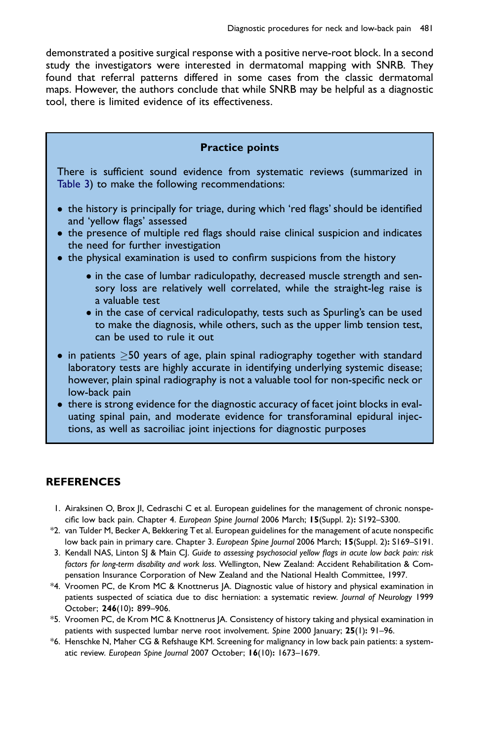<span id="page-10-0"></span>demonstrated a positive surgical response with a positive nerve-root block. In a second study the investigators were interested in dermatomal mapping with SNRB. They found that referral patterns differed in some cases from the classic dermatomal maps. However, the authors conclude that while SNRB may be helpful as a diagnostic tool, there is limited evidence of its effectiveness.

#### Practice points

There is sufficient sound evidence from systematic reviews (summarized in [Table 3](#page-8-0)) to make the following recommendations:

- the history is principally for triage, during which 'red flags' should be identified and 'yellow flags' assessed
- the presence of multiple red flags should raise clinical suspicion and indicates the need for further investigation
- the physical examination is used to confirm suspicions from the history
	- in the case of lumbar radiculopathy, decreased muscle strength and sensory loss are relatively well correlated, while the straight-leg raise is a valuable test
	- in the case of cervical radiculopathy, tests such as Spurling's can be used to make the diagnosis, while others, such as the upper limb tension test, can be used to rule it out
- $\bullet\,$  in patients  $\geq$ 50 years of age, plain spinal radiography together with standard laboratory tests are highly accurate in identifying underlying systemic disease; however, plain spinal radiography is not a valuable tool for non-specific neck or low-back pain
- there is strong evidence for the diagnostic accuracy of facet joint blocks in evaluating spinal pain, and moderate evidence for transforaminal epidural injections, as well as sacroiliac joint injections for diagnostic purposes

#### REFERENCES

- 1. Airaksinen O, Brox JI, Cedraschi C et al. European guidelines for the management of chronic nonspecific low back pain. Chapter 4. European Spine Journal 2006 March; 15(Suppl. 2): S192-S300.
- \*2. van Tulder M, Becker A, Bekkering Tet al. European guidelines for the management of acute nonspecific low back pain in primary care. Chapter 3. European Spine Journal 2006 March; 15(Suppl. 2): S169-S191.
- 3. Kendall NAS, Linton SJ & Main CJ. Guide to assessing psychosocial yellow flags in acute low back pain: risk factors for long-term disability and work loss. Wellington, New Zealand: Accident Rehabilitation & Compensation Insurance Corporation of New Zealand and the National Health Committee, 1997.
- \*4. Vroomen PC, de Krom MC & Knottnerus JA. Diagnostic value of history and physical examination in patients suspected of sciatica due to disc herniation: a systematic review. Journal of Neurology 1999 October; 246(10): 899–906.
- \*5. Vroomen PC, de Krom MC & Knottnerus JA. Consistency of history taking and physical examination in patients with suspected lumbar nerve root involvement. Spine 2000 January; 25(1): 91-96.
- \*6. Henschke N, Maher CG & Refshauge KM. Screening for malignancy in low back pain patients: a systematic review. European Spine Journal 2007 October; 16(10): 1673-1679.